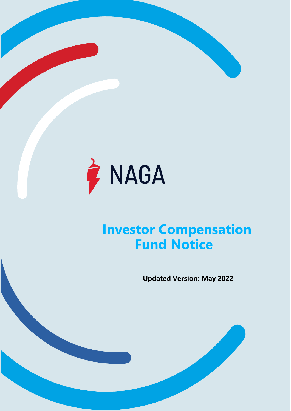

# **Investor Compensation Fund Notice**

**Updated Version: May 2022**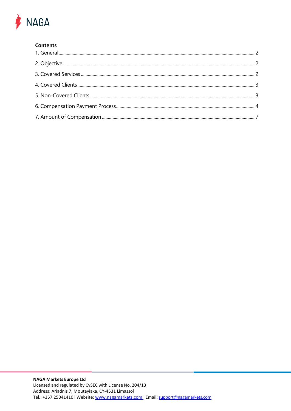# **A** NAGA

# **Contents**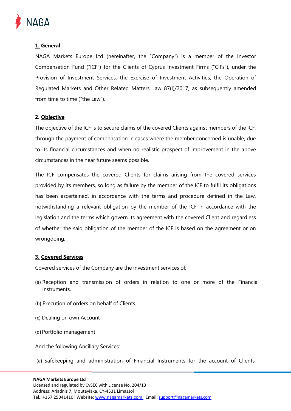

## <span id="page-2-0"></span>**1. General**

NAGA Markets Europe Ltd (hereinafter, the "Company") is a member of the Investor Compensation Fund ("ICF") for the Clients of Cyprus Investment Firms ("CIFs"), under the Provision of Investment Services, the Exercise of Investment Activities, the Operation of Regulated Markets and Other Related Matters Law 87(I)/2017, as subsequently amended from time to time ("the Law").

#### <span id="page-2-1"></span>**2. Objective**

The objective of the ICF is to secure claims of the covered Clients against members of the ICF, through the payment of compensation in cases where the member concerned is unable, due to its financial circumstances and when no realistic prospect of improvement in the above circumstances in the near future seems possible.

The ICF compensates the covered Clients for claims arising from the covered services provided by its members, so long as failure by the member of the ICF to fulfil its obligations has been ascertained, in accordance with the terms and procedure defined in the Law, notwithstanding a relevant obligation by the member of the ICF in accordance with the legislation and the terms which govern its agreement with the covered Client and regardless of whether the said obligation of the member of the ICF is based on the agreement or on wrongdoing.

#### <span id="page-2-2"></span>**3. Covered Services**

Covered services of the Company are the investment services of:

- (a) Reception and transmission of orders in relation to one or more of the Financial Instruments.
- (b) Execution of orders on behalf of Clients.
- (c) Dealing on own Account
- (d)Portfolio management

And the following Ancillary Services:

(a) Safekeeping and administration of Financial Instruments for the account of Clients,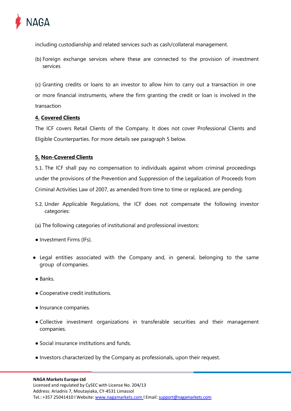

including custodianship and related services such as cash/collateral management.

(b) Foreign exchange services where these are connected to the provision of investment services

(c) Granting credits or loans to an investor to allow him to carry out a transaction in one or more financial instruments, where the firm granting the credit or loan is involved in the transaction

### <span id="page-3-0"></span>**4. Covered Clients**

The ICF covers Retail Clients of the Company. It does not cover Professional Clients and Eligible Counterparties. For more details see paragraph 5 below.

#### <span id="page-3-1"></span>**5. Non-Covered Clients**

5.1. The ICF shall pay no compensation to individuals against whom criminal proceedings under the provisions of the Prevention and Suppression of the Legalization of Proceeds from Criminal Activities Law of 2007, as amended from time to time or replaced, are pending.

5.2. Under Applicable Regulations, the ICF does not compensate the following investor categories:

(a) The following categories of institutional and professional investors:

- Investment Firms (IFs).
- Legal entities associated with the Company and, in general, belonging to the same group of companies.
- Banks.
- Cooperative credit institutions.
- Insurance companies.
- Collective investment organizations in transferable securities and their management companies.
- Social insurance institutions and funds.
- Investors characterized by the Company as professionals, upon their request.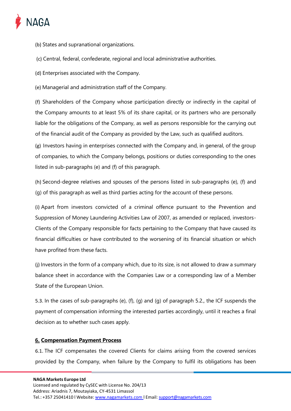

- (b) States and supranational organizations.
- (c) Central, federal, confederate, regional and local administrative authorities.
- (d) Enterprises associated with the Company.

(e) Managerial and administration staff of the Company.

(f) Shareholders of the Company whose participation directly or indirectly in the capital of the Company amounts to at least 5% of its share capital, or its partners who are personally liable for the obligations of the Company, as well as persons responsible for the carrying out of the financial audit of the Company as provided by the Law, such as qualified auditors.

(g) Investors having in enterprises connected with the Company and, in general, of the group of companies, to which the Company belongs, positions or duties corresponding to the ones listed in sub-paragraphs (e) and (f) of this paragraph.

(h) Second-degree relatives and spouses of the persons listed in sub-paragraphs (e), (f) and (g) of this paragraph as well as third parties acting for the account of these persons.

(i) Apart from investors convicted of a criminal offence pursuant to the Prevention and Suppression of Money Laundering Activities Law of 2007, as amended or replaced, investors-Clients of the Company responsible for facts pertaining to the Company that have caused its financial difficulties or have contributed to the worsening of its financial situation or which have profited from these facts.

(j) Investors in the form of a company which, due to its size, is not allowed to draw a summary balance sheet in accordance with the Companies Law or a corresponding law of a Member State of the European Union.

5.3. In the cases of sub-paragraphs (e), (f), (g) and (g) of paragraph 5.2., the ICF suspends the payment of compensation informing the interested parties accordingly, until it reaches a final decision as to whether such cases apply.

#### <span id="page-4-0"></span>**6. Compensation Payment Process**

6.1. The ICF compensates the covered Clients for claims arising from the covered services provided by the Company, when failure by the Company to fulfil its obligations has been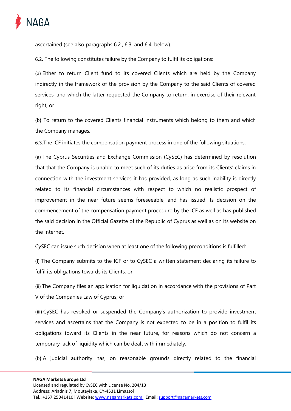

ascertained (see also paragraphs 6.2., 6.3. and 6.4. below).

6.2. The following constitutes failure by the Company to fulfil its obligations:

(a) Either to return Client fund to its covered Clients which are held by the Company indirectly in the framework of the provision by the Company to the said Clients of covered services, and which the latter requested the Company to return, in exercise of their relevant right; or

(b) To return to the covered Clients financial instruments which belong to them and which the Company manages.

6.3.The ICF initiates the compensation payment process in one of the following situations:

(a) The Cyprus Securities and Exchange Commission (CySEC) has determined by resolution that that the Company is unable to meet such of its duties as arise from its Clients' claims in connection with the investment services it has provided, as long as such inability is directly related to its financial circumstances with respect to which no realistic prospect of improvement in the near future seems foreseeable, and has issued its decision on the commencement of the compensation payment procedure by the ICF as well as has published the said decision in the Official Gazette of the Republic of Cyprus as well as on its website on the Internet.

CySEC can issue such decision when at least one of the following preconditions is fulfilled:

(i) The Company submits to the ICF or to CySEC a written statement declaring its failure to fulfil its obligations towards its Clients; or

(ii) The Company files an application for liquidation in accordance with the provisions of Part V of the Companies Law of Cyprus; or

(iii) CySEC has revoked or suspended the Company's authorization to provide investment services and ascertains that the Company is not expected to be in a position to fulfil its obligations toward its Clients in the near future, for reasons which do not concern a temporary lack of liquidity which can be dealt with immediately.

(b) A judicial authority has, on reasonable grounds directly related to the financial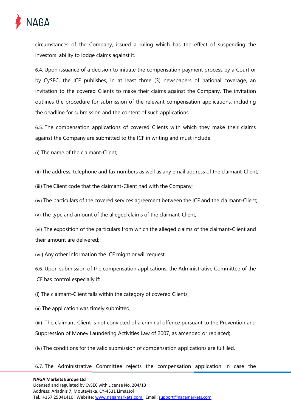

circumstances of the Company, issued a ruling which has the effect of suspending the investors' ability to lodge claims against it.

6.4. Upon issuance of a decision to initiate the compensation payment process by a Court or by CySEC, the ICF publishes, in at least three (3) newspapers of national coverage, an invitation to the covered Clients to make their claims against the Company. The invitation outlines the procedure for submission of the relevant compensation applications, including the deadline for submission and the content of such applications.

6.5. The compensation applications of covered Clients with which they make their claims against the Company are submitted to the ICF in writing and must include:

(i) The name of the claimant-Client;

(ii) The address, telephone and fax numbers as well as any email address of the claimant-Client;

(iii) The Client code that the claimant-Client had with the Company;

(iv) The particulars of the covered services agreement between the ICF and the claimant-Client;

(v) The type and amount of the alleged claims of the claimant-Client;

(vi) The exposition of the particulars from which the alleged claims of the claimant-Client and their amount are delivered;

(vii) Any other information the ICF might or will request.

6.6. Upon submission of the compensation applications, the Administrative Committee of the ICF has control especially if:

(i) The claimant-Client falls within the category of covered Clients;

(ii) The application was timely submitted;

(iii) The claimant-Client is not convicted of a criminal offence pursuant to the Prevention and Suppression of Money Laundering Activities Law of 2007, as amended or replaced;

(iv) The conditions for the valid submission of compensation applications are fulfilled.

6.7. The Administrative Committee rejects the compensation application in case the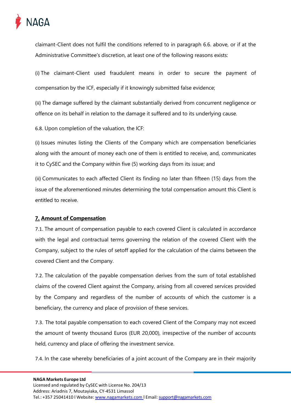

claimant-Client does not fulfil the conditions referred to in paragraph 6.6. above, or if at the Administrative Committee's discretion, at least one of the following reasons exists:

(i) The claimant-Client used fraudulent means in order to secure the payment of compensation by the ICF, especially if it knowingly submitted false evidence;

(ii) The damage suffered by the claimant substantially derived from concurrent negligence or offence on its behalf in relation to the damage it suffered and to its underlying cause.

6.8. Upon completion of the valuation, the ICF:

(i) Issues minutes listing the Clients of the Company which are compensation beneficiaries along with the amount of money each one of them is entitled to receive, and, communicates it to CySEC and the Company within five (5) working days from its issue; and

(ii) Communicates to each affected Client its finding no later than fifteen (15) days from the issue of the aforementioned minutes determining the total compensation amount this Client is entitled to receive.

#### <span id="page-7-0"></span>**7. Amount of Compensation**

7.1. The amount of compensation payable to each covered Client is calculated in accordance with the legal and contractual terms governing the relation of the covered Client with the Company, subject to the rules of setoff applied for the calculation of the claims between the covered Client and the Company.

7.2. The calculation of the payable compensation derives from the sum of total established claims of the covered Client against the Company, arising from all covered services provided by the Company and regardless of the number of accounts of which the customer is a beneficiary, the currency and place of provision of these services.

7.3. The total payable compensation to each covered Client of the Company may not exceed the amount of twenty thousand Euros (EUR 20,000), irrespective of the number of accounts held, currency and place of offering the investment service.

7.4. In the case whereby beneficiaries of a joint account of the Company are in their majority